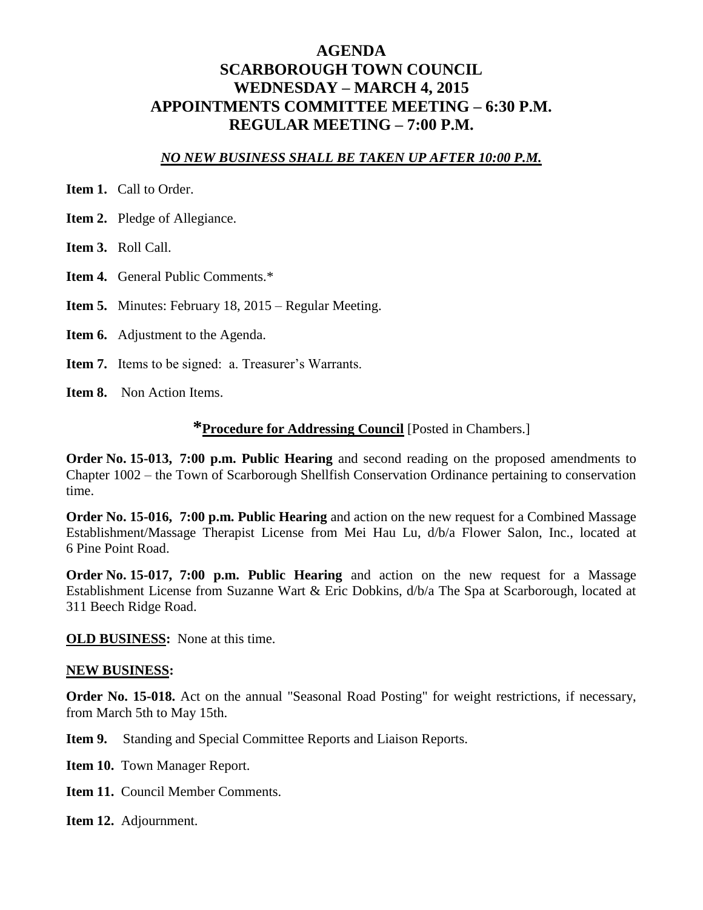## **AGENDA SCARBOROUGH TOWN COUNCIL WEDNESDAY – MARCH 4, 2015 APPOINTMENTS COMMITTEE MEETING – 6:30 P.M. REGULAR MEETING – 7:00 P.M.**

#### *NO NEW BUSINESS SHALL BE TAKEN UP AFTER 10:00 P.M.*

- **Item 1.** Call to Order.
- **Item 2.** Pledge of Allegiance.
- **Item 3.** Roll Call.
- **Item 4.** General Public Comments.\*
- **Item 5.** Minutes: February 18, 2015 Regular Meeting.
- **Item 6.** Adjustment to the Agenda.
- **Item 7.** Items to be signed: a. Treasurer's Warrants.
- **Item 8.** Non Action Items.

#### **\*Procedure for Addressing Council** [Posted in Chambers.]

**Order No. 15-013, 7:00 p.m. Public Hearing** and second reading on the proposed amendments to Chapter 1002 – the Town of Scarborough Shellfish Conservation Ordinance pertaining to conservation time.

**Order No. 15-016, 7:00 p.m. Public Hearing** and action on the new request for a Combined Massage Establishment/Massage Therapist License from Mei Hau Lu, d/b/a Flower Salon, Inc., located at 6 Pine Point Road.

**Order No. 15-017, 7:00 p.m. Public Hearing** and action on the new request for a Massage Establishment License from Suzanne Wart & Eric Dobkins, d/b/a The Spa at Scarborough, located at 311 Beech Ridge Road.

**OLD BUSINESS:** None at this time.

#### **NEW BUSINESS:**

**Order No. 15-018.** Act on the annual "Seasonal Road Posting" for weight restrictions, if necessary, from March 5th to May 15th.

**Item 9.** Standing and Special Committee Reports and Liaison Reports.

- **Item 10.** Town Manager Report.
- **Item 11.** Council Member Comments.

**Item 12.** Adjournment.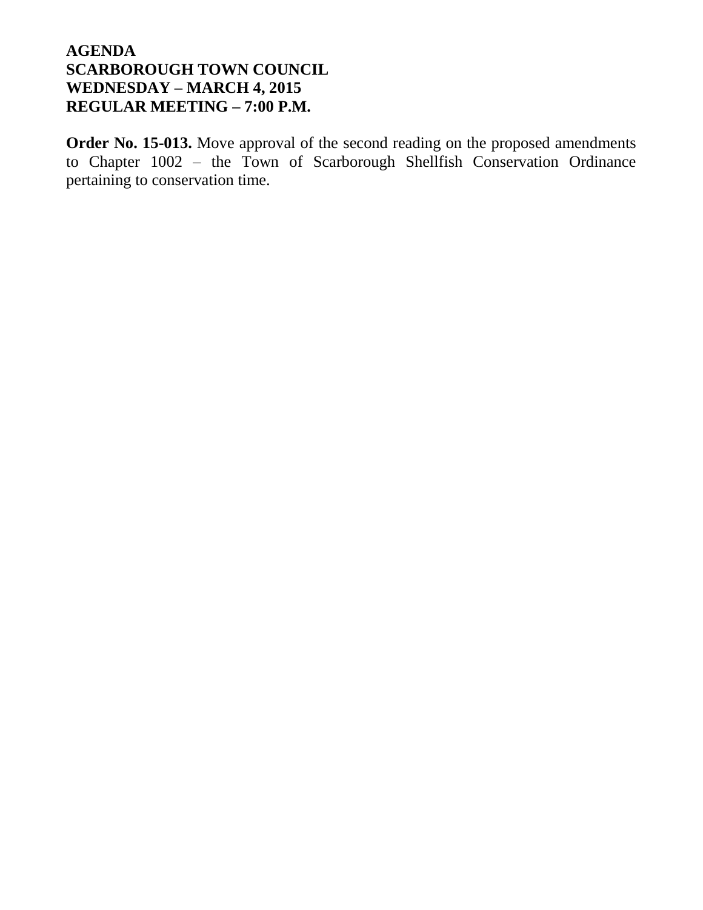**Order No. 15-013.** Move approval of the second reading on the proposed amendments to Chapter 1002 – the Town of Scarborough Shellfish Conservation Ordinance pertaining to conservation time.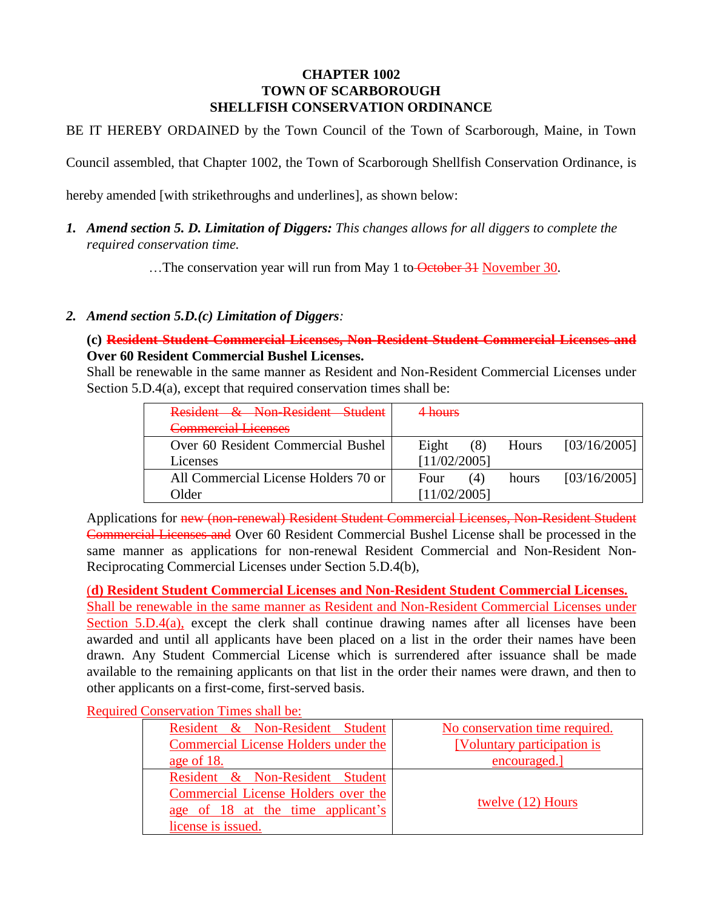#### **CHAPTER 1002 TOWN OF SCARBOROUGH SHELLFISH CONSERVATION ORDINANCE**

BE IT HEREBY ORDAINED by the Town Council of the Town of Scarborough, Maine, in Town

Council assembled, that Chapter 1002, the Town of Scarborough Shellfish Conservation Ordinance, is

hereby amended [with strikethroughs and underlines], as shown below:

*1. Amend section 5. D. Limitation of Diggers: This changes allows for all diggers to complete the required conservation time.*

...The conservation year will run from May 1 to October 31 November 30.

#### *2. Amend section 5.D.(c) Limitation of Diggers:*

**(c) Resident Student Commercial Licenses, Non-Resident Student Commercial Licenses and Over 60 Resident Commercial Bushel Licenses.**

Shall be renewable in the same manner as Resident and Non-Resident Commercial Licenses under Section 5.D.4(a), except that required conservation times shall be:

| Resident & Non-Resident Student      | <del>l hours</del>                    |
|--------------------------------------|---------------------------------------|
| Commercial Licenses                  |                                       |
| Over 60 Resident Commercial Bushel   | [03/16/2005]<br>Eight<br>(8)<br>Hours |
| Licenses                             | [11/02/2005]                          |
| All Commercial License Holders 70 or | [03/16/2005]<br>Four<br>(4)<br>hours  |
| Older                                | [11/02/2005]                          |

Applications for new (non-renewal) Resident Student Commercial Licenses, Non-Resident Student Commercial Licenses and Over 60 Resident Commercial Bushel License shall be processed in the same manner as applications for non-renewal Resident Commercial and Non-Resident Non-Reciprocating Commercial Licenses under Section 5.D.4(b),

(**d) Resident Student Commercial Licenses and Non-Resident Student Commercial Licenses.**

Shall be renewable in the same manner as Resident and Non-Resident Commercial Licenses under Section 5.D.4(a), except the clerk shall continue drawing names after all licenses have been awarded and until all applicants have been placed on a list in the order their names have been drawn. Any Student Commercial License which is surrendered after issuance shall be made available to the remaining applicants on that list in the order their names were drawn, and then to other applicants on a first-come, first-served basis.

Required Conservation Times shall be:

| Resident & Non-Resident Student      | No conservation time required. |
|--------------------------------------|--------------------------------|
| Commercial License Holders under the | [Voluntary participation is    |
| age of 18.                           | encouraged.                    |
| Resident & Non-Resident Student      |                                |
| Commercial License Holders over the  |                                |
| age of 18 at the time applicant's    | twelve (12) Hours              |
| license is issued.                   |                                |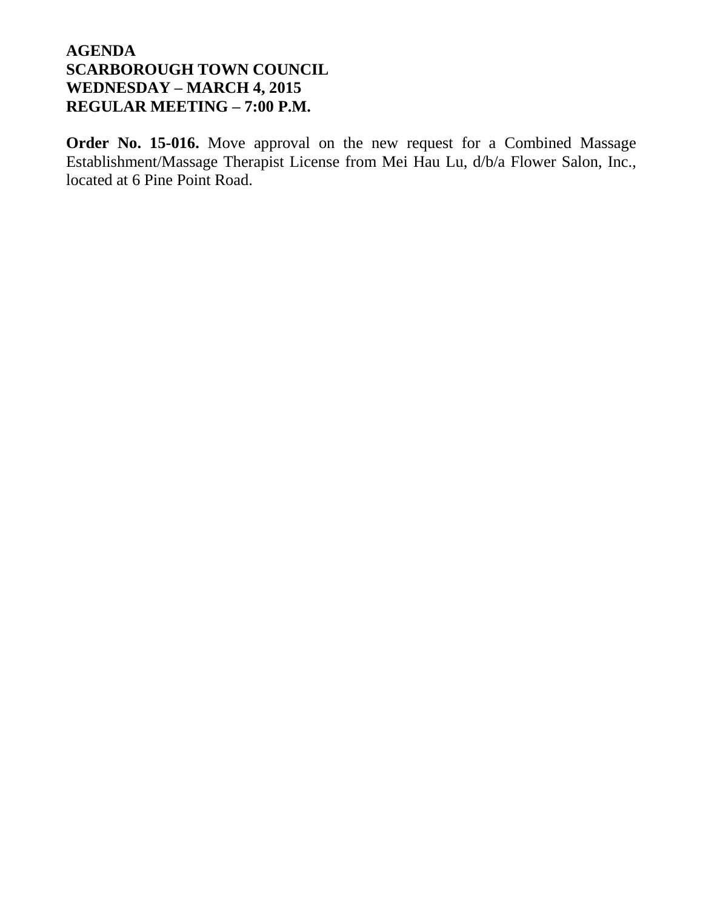**Order No. 15-016.** Move approval on the new request for a Combined Massage Establishment/Massage Therapist License from Mei Hau Lu, d/b/a Flower Salon, Inc., located at 6 Pine Point Road.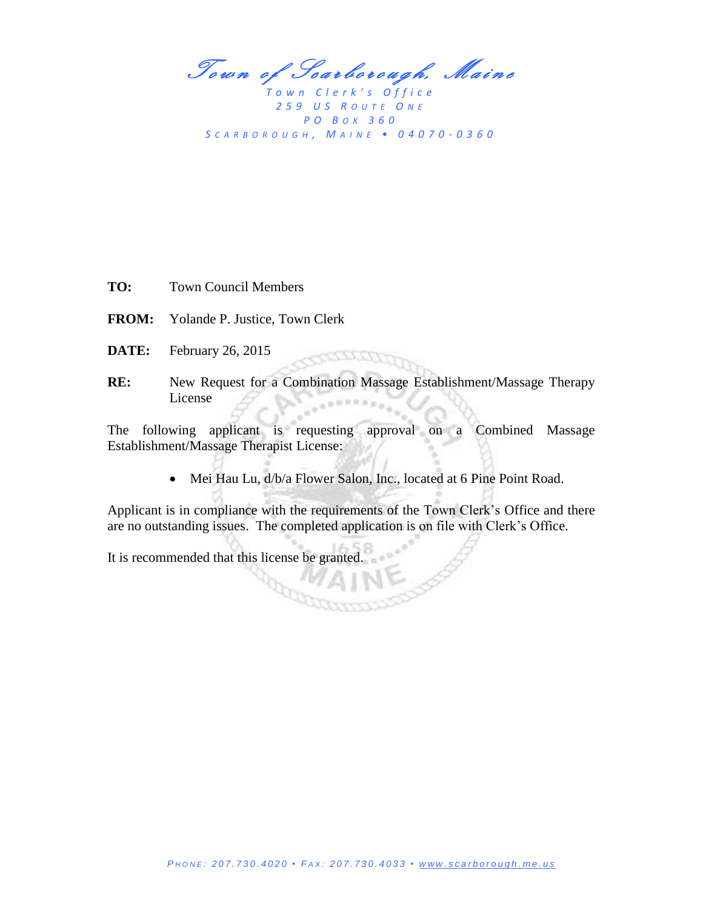Town of Scarborough, Maine

*T o w n C l e r k ' s O f f i c e 2 5 9 U S R O U T E O N E P O B OX 3 6 0 S C A R B O R O U G H , M A I N E • 0 4 0 7 0 - 0 3 6 0*

**TO:** Town Council Members

- **FROM:** Yolande P. Justice, Town Clerk
- **DATE:** February 26, 2015
- **RE:** New Request for a Combination Massage Establishment/Massage Therapy License

accomp

The following applicant is requesting approval on a Combined Massage Establishment/Massage Therapist License:

Mei Hau Lu, d/b/a Flower Salon, Inc., located at 6 Pine Point Road.

Applicant is in compliance with the requirements of the Town Clerk's Office and there are no outstanding issues. The completed application is on file with Clerk's Office.

It is recommended that this license be granted.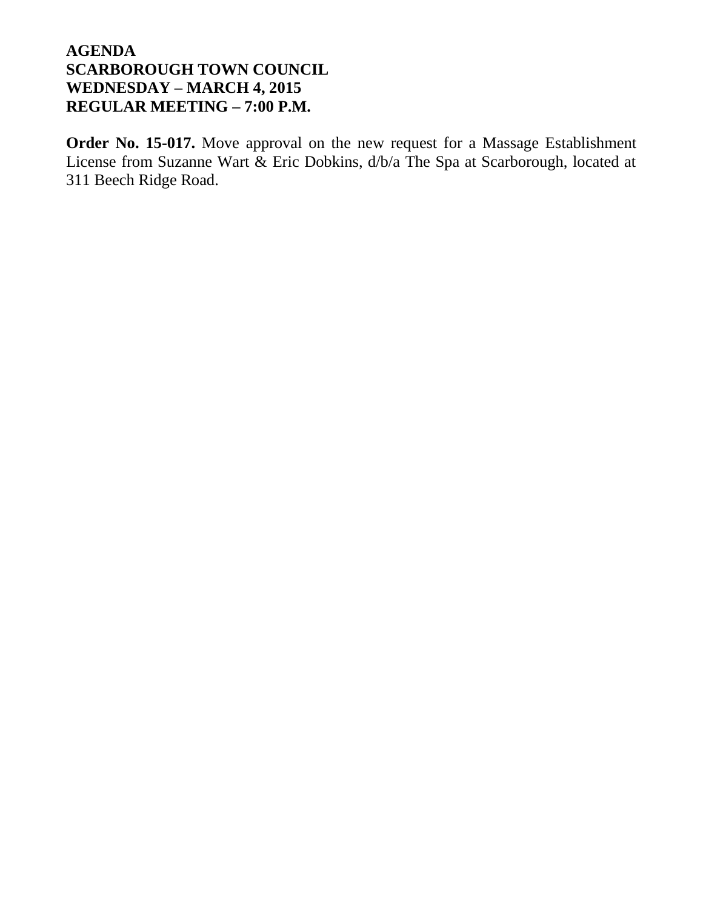**Order No. 15-017.** Move approval on the new request for a Massage Establishment License from Suzanne Wart & Eric Dobkins, d/b/a The Spa at Scarborough, located at 311 Beech Ridge Road.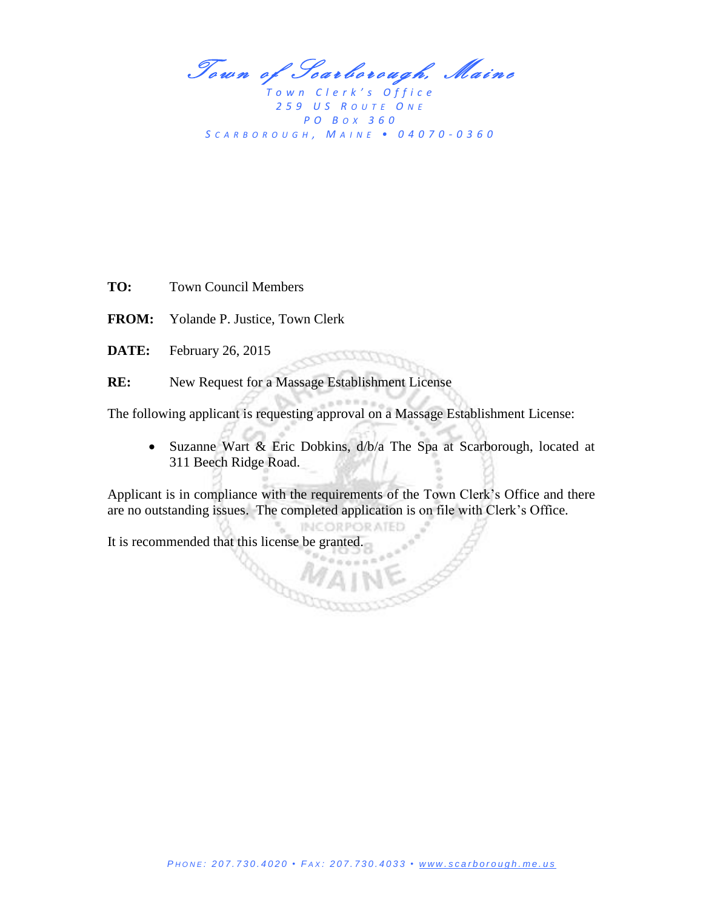Town of Scarborough, Maine

*T o w n C l e r k ' s O f f i c e 2 5 9 U S R O U T E O N E P O B OX 3 6 0 S C A R B O R O U G H , M A I N E • 0 4 0 7 0 - 0 3 6 0*

**TO:** Town Council Members

**FROM:** Yolande P. Justice, Town Clerk

**DATE:** February 26, 2015

**RE:** New Request for a Massage Establishment License

a Card

The following applicant is requesting approval on a Massage Establishment License:

7777777

 Suzanne Wart & Eric Dobkins, d/b/a The Spa at Scarborough, located at 311 Beech Ridge Road.

Applicant is in compliance with the requirements of the Town Clerk's Office and there are no outstanding issues. The completed application is on file with Clerk's Office.

**INCORPORATED** 

It is recommended that this license be granted.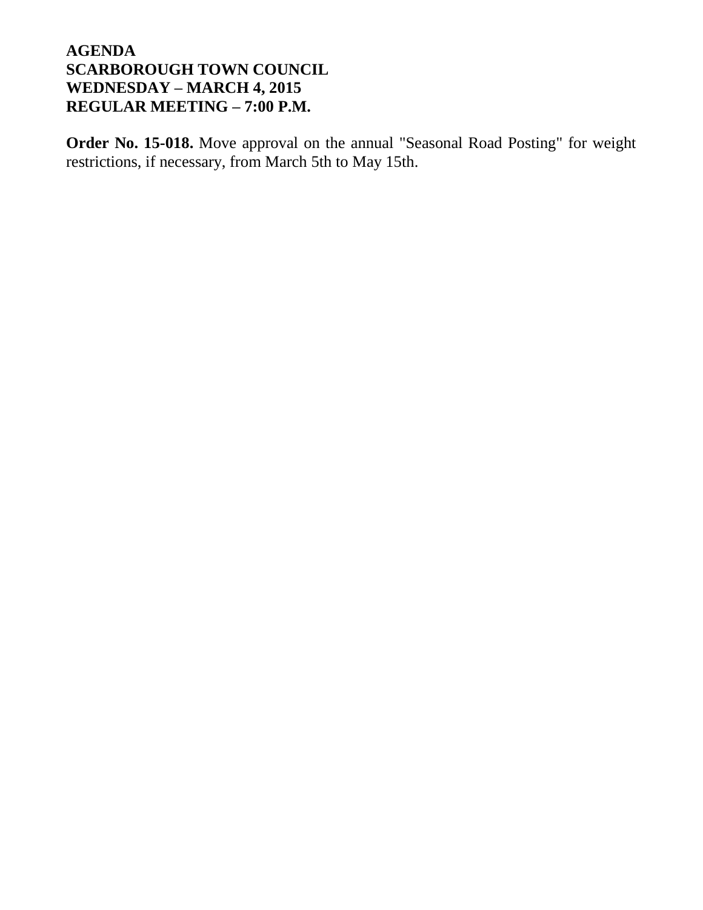**Order No. 15-018.** Move approval on the annual "Seasonal Road Posting" for weight restrictions, if necessary, from March 5th to May 15th.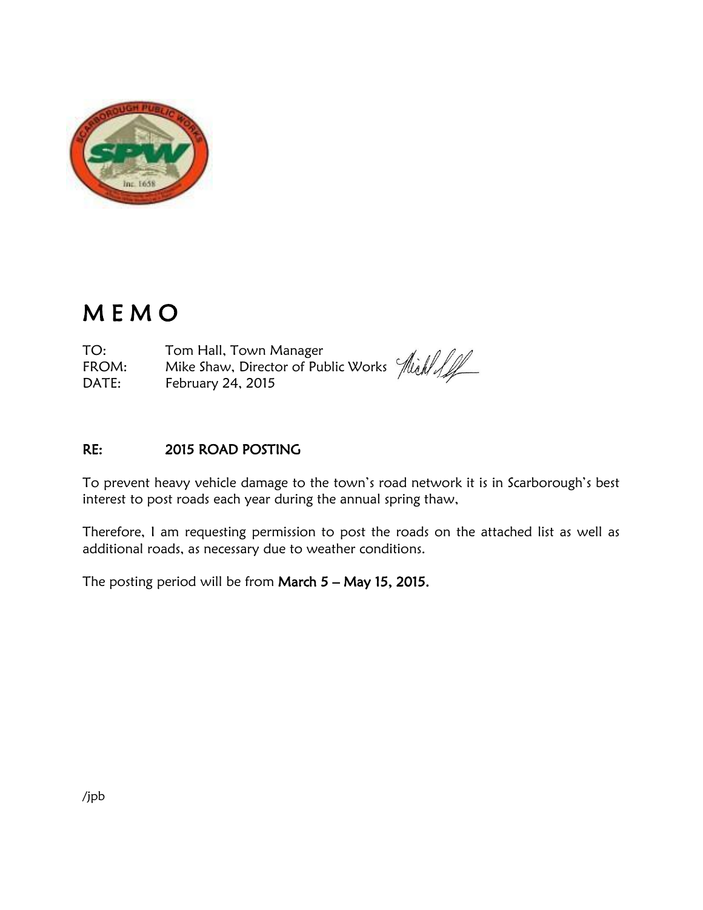

# M E M O

TO: Tom Hall, Town Manager TO: Tom Hall, Town Manager<br>FROM: Mike Shaw, Director of Public Works *Aliah All* DATE: February 24, 2015

### RE: 2015 ROAD POSTING

To prevent heavy vehicle damage to the town's road network it is in Scarborough's best interest to post roads each year during the annual spring thaw,

Therefore, I am requesting permission to post the roads on the attached list as well as additional roads, as necessary due to weather conditions.

The posting period will be from March  $5 -$  May 15, 2015.